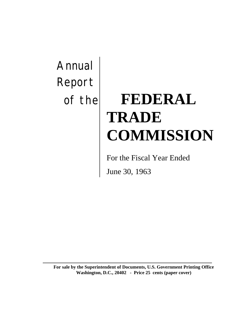Annual Report

# of the **FEDERAL TRADE COMMISSION**

For the Fiscal Year Ended

June 30, 1963

**For sale by the Superintendent of Documents, U.S. Government Printing Office Washington, D.C., 20402 - Price 25 cents (paper cover)**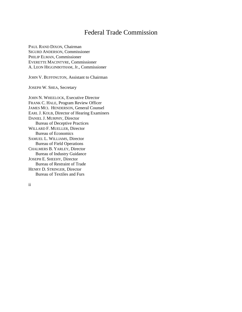#### Federal Trade Commission

PAUL RAND DIXON, Chairman SIGURD ANDERSON, Commissioner PHILIP ELMAN, Commissioner EVERETTE MACINTYRE, Commissioner A. LEON HIGGINBOTHAM, Jr., Commissioner

JOHN V. BUFFINGTON, Assistant to Chairman

JOSEPH W. SHEA, Secretary

JOHN N. WHEELOCK, Executive Director FRANK C. HALE, Program Review Officer JAMES MCI. HENDERSON, General Counsel EARL J. KOLB, Director of Hearing Examiners DANIEL J. MURPHY, Director Bureau of Deceptive Practices WILLARD F. MUELLER, Director Bureau of Economics SAMUEL L. WILLIAMS, Director Bureau of Field Operations CHALMERS B. YARLEY, Director Bureau of Industry Guidance JOSEPH E. SHEEHY, Director Bureau of Restraint of Trade HENRY D. STRINGER, Director Bureau of Textiles and Furs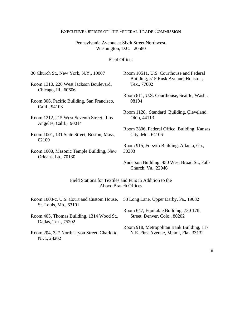#### EXECUTIVE OFFICES OF THE FEDERAL TRADE COMMISSION

#### Pennsylvania Avenue at Sixth Street Northwest, Washington, D.C. 20580

#### Field Offices

| 30 Church St., New York, N.Y., 10007       | Room 10511, U.S. Courthouse and Federal                            |  |
|--------------------------------------------|--------------------------------------------------------------------|--|
| Room 1310, 226 West Jackson Boulevard,     | Building, 515 Rusk Avenue, Houston,                                |  |
| Chicago, Ill., 60606                       | Tex., 77002                                                        |  |
| Room 306, Pacific Building, San Francisco, | Room 811, U.S. Courthouse, Seattle, Wash.,                         |  |
| Calif., 94103                              | 98104                                                              |  |
| Room 1212, 215 West Seventh Street, Los    | Room 1128, Standard Building, Cleveland,                           |  |
| Angeles, Calif., 90014                     | Ohio, 44113                                                        |  |
| Room 1001, 131 State Street, Boston, Mass, | Room 2806, Federal Office Building, Kansas                         |  |
| 02109                                      | City, Mo., 64106                                                   |  |
| Room 1000, Masonic Temple Building, New    | Room 915, Forsyth Building, Atlanta, Ga.,                          |  |
| Orleans, La., 70130                        | 30303                                                              |  |
|                                            | Anderson Building, 450 West Broad St., Falls<br>Church, Va., 22046 |  |

Field Stations for Textiles and Furs in Addition to the Above Branch Offices

| Room 1003-c, U.S. Court and Custom House,<br>St. Louis, Mo., 63101 | 53 Long Lane, Upper Darby, Pa., 19082     |
|--------------------------------------------------------------------|-------------------------------------------|
| Room 405, Thomas Building, 1314 Wood St.,                          | Room 647, Equitable Building, 730 17th    |
| Dallas, Tex., 75202                                                | Street, Denver, Colo., 80202              |
| Room 204, 327 North Tryon Street, Charlotte,                       | Room 918, Metropolitan Bank Building, 117 |
| N.C., 28202                                                        | N.E. First Avenue, Miami, Fla., 33132     |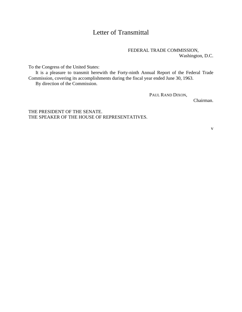## Letter of Transmittal

#### FEDERAL TRADE COMMISSION, Washington, D.C.

To the Congress of the United States:

It is a pleasure to transmit herewith the Forty-ninth Annual Report of the Federal Trade Commission, covering its accomplishments during the fiscal year ended June 30, 1963.

By direction of the Commission.

PAUL RAND DIXON,

Chairman.

THE PRESIDENT OF THE SENATE. THE SPEAKER OF THE HOUSE OF REPRESENTATIVES.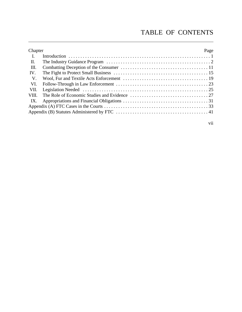# TABLE OF CONTENTS

| Chapter        | Page |
|----------------|------|
| $\mathbf{I}$ . |      |
| П.             |      |
| Ш.             |      |
| IV.            |      |
| V.             |      |
| VI.            |      |
| VII.           |      |
|                |      |
| IX.            |      |
|                |      |
|                |      |
|                |      |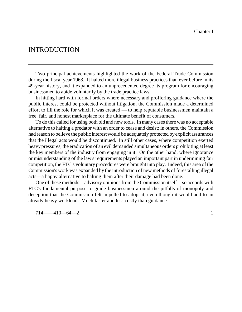#### INTRODUCTION

Two principal achievements highlighted the work of the Federal Trade Commission during the fiscal year 1963. It halted more illegal business practices than ever before in its 49-year history, and it expanded to an unprecedented degree its program for encouraging businessmen to abide voluntarily by the trade practice laws.

In hitting hard with formal orders where necessary and proffering guidance where the public interest could be protected without litigation, the Commission made a determined effort to fill the role for which it was created — to help reputable businessmen maintain a free, fair, and honest marketplace for the ultimate benefit of consumers.

To do this called for using both old and new tools. In many cases there was no acceptable alternative to halting a predator with an order to cease and desist; in others, the Commission had reason to believe the public interest would be adequately protected by explicit assurances that the illegal acts would be discontinued. In still other cases, where competition exerted heavy pressures, the eradication of an evil demanded simultaneous orders prohibiting at least the key members of the industry from engaging in it. On the other hand, where ignorance or misunderstanding of the law's requirements played an important part in undermining fair competition, the FTC's voluntary procedures were brought into play. Indeed, this area of the Commission's work was expanded by the introduction of new methods of forestalling illegal acts—a happy alternative to halting them after their damage had been done.

One of these methods—advisory opinions from the Commission itself—so accords with FTC's fundamental purpose to guide businessmen around the pitfalls of monopoly and deception that the Commission felt impelled to adopt it, even though it would add to an already heavy workload. Much faster and less costly than guidance

714——410—64—2 1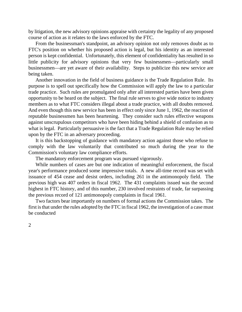by litigation, the new advisory opinions appraise with certainty the legality of any proposed course of action as it relates to the laws enforced by the FTC.

From the businessman's standpoint, an advisory opinion not only removes doubt as to FTC's position on whether his proposed action is legal, but his identity as an interested person is kept confidential. Unfortunately, this element of confidentiality has resulted in so little publicity for advisory opinions that very few businessmen—particularly small businessmen—are yet aware of their availability. Steps to publicize this new service are being taken.

Another innovation in the field of business guidance is the Trade Regulation Rule. Its purpose is to spell out specifically how the Commission will apply the law to a particular trade practice. Such rules are promulgated only after all interested parties have been given opportunity to be heard on the subject. The final rule serves to give wide notice to industry members as to what FTC considers illegal about a trade practice, with all doubts removed. And even though this new service has been in effect only since June 1, 1962, the reaction of reputable businessmen has been heartening. They consider such rules effective weapons against unscrupulous competitors who have been hiding behind a shield of confusion as to what is legal. Particularly persuasive is the fact that a Trade Regulation Rule may be relied upon by the FTC in an adversary proceeding.

It is this backstopping of guidance with mandatory action against those who refuse to comply with the law voluntarily that contributed so much during the year to the Commission's voluntary law compliance efforts.

The mandatory enforcement program was pursued vigorously.

While numbers of cases are but one indication of meaningful enforcement, the fiscal year's performance produced some impressive totals. A new all-time record was set with issuance of 454 cease and desist orders, including 261 in the antimonopoly field. The previous high was 407 orders in fiscal 1962. The 431 complaints issued was the second highest in FTC history, and of this number, 230 involved restraints of trade, far surpassing the previous record of 121 antimonopoly complaints in fiscal 1961.

Two factors bear importantly on numbers of formal actions the Commission takes. The first is that under the rules adopted by the FTC in fiscal 1962, the investigation of a case must be conducted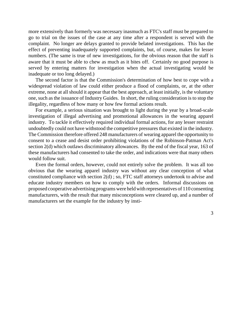more extensively than formerly was necessary inasmuch as FTC's staff must be prepared to go to trial on the issues of the case at any time after a respondent is served with the complaint. No longer are delays granted to provide belated investigations. This has the effect of preventing inadequately supported complaints, but, of course, makes for lesser numbers. (The same is true of new investigations, for the obvious reason that the staff is aware that it must be able to chew as much as it bites off. Certainly no good purpose is served by entering matters for investigation when the actual investigating would be inadequate or too long delayed.)

The second factor is that the Commission's determination of how best to cope with a widespread violation of law could either produce a flood of complaints, or, at the other extreme, none at all should it appear that the best approach, at least initially, is the voluntary one, such as the issuance of Industry Guides. In short, the ruling consideration is to stop the illegality, regardless of how many or how few formal actions result.

For example, a serious situation was brought to light during the year by a broad-scale investigation of illegal advertising and promotional allowances in the wearing apparel industry. To tackle it effectively required individual formal actions, for any lesser restraint undoubtedly could not have withstood the competitive pressures that existed in the industry. The Commission therefore offered 248 manufacturers of wearing apparel the opportunity to consent to a cease and desist order prohibiting violations of the Robinson-Patman Act's section 2(d) which outlaws discriminatory allowances. By the end of the fiscal year, 163 of these manufacturers had consented to take the order, and indications were that many others would follow suit.

Even the formal orders, however, could not entirely solve the problem. It was all too obvious that the wearing apparel industry was without any clear conception of what constituted compliance with section 2(d) ; so, FTC staff attorneys undertook to advise and educate industry members on how to comply with the orders. Informal discussions on proposed cooperative advertising programs were held with representatives of 110 consenting manufacturers, with the result that many misconceptions were cleared up, and a number of manufacturers set the example for the industry by insti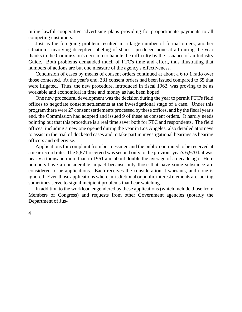tuting lawful cooperative advertising plans providing for proportionate payments to all competing customers.

Just as the foregoing problem resulted in a large number of formal orders, another situation—involving deceptive labeling of shoes—produced none at all during the year thanks to the Commission's decision to handle the difficulty by the issuance of an Industry Guide. Both problems demanded much of FTC's time and effort, thus illustrating that numbers of actions are but one measure of the agency's effectiveness.

Conclusion of cases by means of consent orders continued at about a 6 to 1 ratio over those contested. At the year's end, 381 consent orders had been issued compared to 65 that were litigated. Thus, the new procedure, introduced in fiscal 1962, was proving to be as workable and economical in time and money as had been hoped.

One new procedural development was the decision during the year to permit FTC's field offices to negotiate consent settlements at the investigational stage of a case. Under this program there were 27 consent settlements processed by these offices, and by the fiscal year's end, the Commission had adopted and issued 9 of these as consent orders. It hardly needs pointing out that this procedure is a real time saver both for FTC and respondents. The field offices, including a new one opened during the year in Los Angeles, also detailed attorneys to assist in the trial of docketed cases and to take part in investigational hearings as hearing officers and otherwise.

Applications for complaint from businessmen and the public continued to be received at a near record rate. The 5,871 received was second only to the previous year's 6,970 but was nearly a thousand more than in 1961 and about double the average of a decade ago. Here numbers have a considerable impact because only those that have some substance are considered to be applications. Each receives the consideration it warrants, and none is ignored. Even those applications where jurisdictional or public interest elements are lacking sometimes serve to signal incipient problems that bear watching.

In addition to the workload engendered by these applications (which include those from Members of Congress) and requests from other Government agencies (notably the Department of Jus-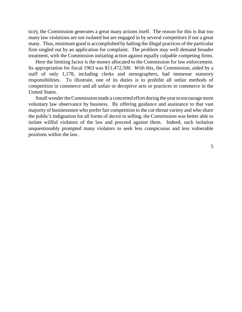tice), the Commission generates a great many actions itself. The reason for this is that too many law violations are not isolated but are engaged in by several competitors if not a great many. Thus, minimum good is accomplished by halting the illegal practices of the particular firm singled out by an application for complaint. The problem may well demand broader treatment, with the Commission initiating action against equally culpable competing firms.

Here the limiting factor is the money allocated to the Commission for law enforcement. Its appropriation for fiscal 1963 was \$11,472,500. With this, the Commission, aided by a staff of only 1,178, including clerks and stenographers, had immense statutory responsibilities. To illustrate, one of its duties is to prohibit all unfair methods of competition in commerce and all unfair or deceptive acts or practices in commerce in the United States.

Small wonder the Commission made a concerted effort during the year to encourage more voluntary law observance by business. By offering guidance and assistance to that vast majority of businessmen who prefer fair competition to the cut-throat variety and who share the public's indignation for all forms of deceit in selling, the Commission was better able to isolate willful violators of the law and proceed against them. Indeed, such isolation unquestionably prompted many violators to seek less conspicuous and less vulnerable positions within the law.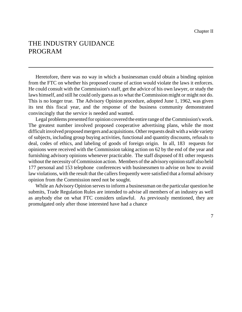## THE INDUSTRY GUIDANCE PROGRAM

Heretofore, there was no way in which a businessman could obtain a binding opinion from the FTC on whether his proposed course of action would violate the laws it enforces. He could consult with the Commission's staff, get the advice of his own lawyer, or study the laws himself, and still he could only guess asto what the Commission might or might not do. This is no longer true. The Advisory Opinion procedure, adopted June 1, 1962, was given its test this fiscal year, and the response of the business community demonstrated convincingly that the service is needed and wanted.

Legal problems presented for opinion covered the entire range of the Commission's work. The greatest number involved proposed cooperative advertising plans, while the most difficult involved proposed mergers and acquisitions. Other requests dealt with a wide variety of subjects, including group buying activities, functional and quantity discounts, refusals to deal, codes of ethics, and labeling of goods of foreign origin. In all, 183 requests for opinions were received with the Commission taking action on 62 by the end of the year and furnishing advisory opinions whenever practicable. The staff disposed of 81 other requests without the necessity of Commission action. Members of the advisory opinion staff also held 177 personal and 153 telephone conferences with businessmen to advise on how to avoid law violations, with the result that the callers frequently were satisfied that a formal advisory opinion from the Commission need not be sought.

While an Advisory Opinion serves to inform a businessman on the particular question he submits, Trade Regulation Rules are intended to advise all members of an industry as well as anybody else on what FTC considers unlawful. As previously mentioned, they are promulgated only after those interested have had a chance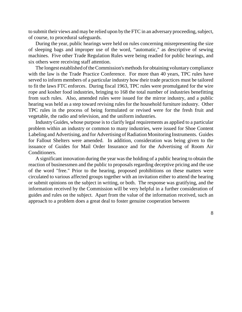to submit their views and may be relied upon by the FTC in an adversary proceeding, subject, of course, to procedural safeguards.

During the year, public hearings were held on rules concerning misrepresenting the size of sleeping bags and improper use of the word, "automatic," as descriptive of sewing machines. Five other Trade Regulation Rules were being readied for public hearings, and six others were receiving staff attention.

The longest established of the Commission's methods for obtaining voluntary compliance with the law is the Trade Practice Conference. For more than 40 years, TPC rules have served to inform members of a particular industry how their trade practices must be tailored to fit the laws FTC enforces. During fiscal 1963, TPC rules were promulgated for the wire rope and kosher food industries, bringing to 168 the total number of industries benefitting from such rules. Also, amended rules were issued for the mirror industry, and a public hearing was held as a step toward revising rules for the household furniture industry. Other TPC rules in the process of being formulated or revised were for the fresh fruit and vegetable, the radio and television, and the uniform industries.

Industry Guides, whose purpose isto clarify legal requirements as applied to a particular problem within an industry or common to many industries, were issued for Shoe Content Labeling and Advertising, and for Advertising of Radiation Monitoring Instruments. Guides for Fallout Shelters were amended. In addition, consideration was being given to the issuance of Guides for Mail Order Insurance and for the Advertising of Room Air Conditioners.

A significant innovation during the year wasthe holding of a public hearing to obtain the reaction of businessmen and the public to proposals regarding deceptive pricing and the use of the word "free." Prior to the hearing, proposed prohibitions on these matters were circulated to various affected groups together with an invitation either to attend the hearing or submit opinions on the subject in writing, or both. The response was gratifying, and the information received by the Commission will be very helpful in a further consideration of guides and rules on the subject. Apart from the value of the information received, such an approach to a problem does a great deal to foster genuine cooperation between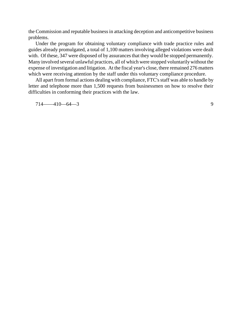the Commission and reputable business in attacking deception and anticompetitive business problems.

Under the program for obtaining voluntary compliance with trade practice rules and guides already promulgated, a total of 1,100 matters involving alleged violations were dealt with. Of these, 347 were disposed of by assurances that they would be stopped permanently. Many involved several unlawful practices, all of which were stopped voluntarily without the expense of investigation and litigation. At the fiscal year's close, there remained 276 matters which were receiving attention by the staff under this voluntary compliance procedure.

All apart from formal actions dealing with compliance, FTC's staff was able to handle by letter and telephone more than 1,500 requests from businessmen on how to resolve their difficulties in conforming their practices with the law.

714——410—64—3 9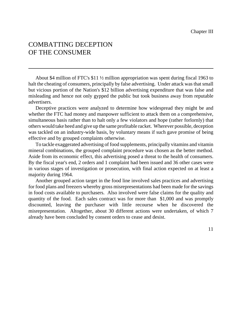# COMBATTING DECEPTION OF THE CONSUMER

About \$4 million of FTC's \$11 ½ million appropriation was spent during fiscal 1963 to halt the cheating of consumers, principally by false advertising. Under attack was that small but vicious portion of the Nation's \$12 billion advertising expenditure that was false and misleading and hence not only gypped the public but took business away from reputable advertisers.

Deceptive practices were analyzed to determine how widespread they might be and whether the FTC had money and manpower sufficient to attack them on a comprehensive, simultaneous basis rather than to halt only a few violators and hope (rather forlornly) that others would take heed and give up the same profitable racket. Wherever possible, deception was tackled on an industry-wide basis, by voluntary means if such gave promise of being effective and by grouped complaints otherwise.

To tackle exaggerated advertising of food supplements, principally vitamins and vitamin mineral combinations, the grouped complaint procedure was chosen as the better method. Aside from its economic effect, this advertising posed a threat to the health of consumers. By the fiscal year's end, 2 orders and 1 complaint had been issued and 36 other cases were in various stages of investigation or prosecution, with final action expected on at least a majority during 1964.

Another grouped action target in the food line involved sales practices and advertising for food plans and freezers whereby gross misrepresentations had been made for the savings in food costs available to purchasers. Also involved were false claims for the quality and quantity of the food. Each sales contract was for more than \$1,000 and was promptly discounted, leaving the purchaser with little recourse when he discovered the misrepresentation. Altogether, about 30 different actions were undertaken, of which 7 already have been concluded by consent orders to cease and desist.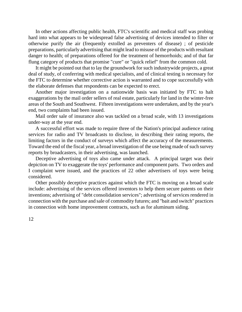In other actions affecting public health, FTC's scientific and medical staff was probing hard into what appears to be widespread false advertising of devices intended to filter or otherwise purify the air (frequently extolled as preventers of disease) ; of pesticide preparations, particularly advertising that might lead to misuse of the products with resultant danger to health; of preparations offered for the treatment of hemorrhoids; and of that far flung category of products that promise "cure" or "quick relief" from the common cold.

It might be pointed out that to lay the groundwork for such industrywide projects, a great deal of study, of conferring with medical specialists, and of clinical testing is necessary for the FTC to determine whether corrective action is warranted and to cope successfully with the elaborate defenses that respondents can be expected to erect.

Another major investigation on a nationwide basis was initiated by FTC to halt exaggerations by the mail order sellers of real estate, particularly for land in the winter-free areas of the South and Southwest. Fifteen investigations were undertaken, and by the year's end, two complaints had been issued.

Mail order sale of insurance also was tackled on a broad scale, with 13 investigations under-way at the year end.

A successful effort was made to require three of the Nation's principal audience rating services for radio and TV broadcasts to disclose, in describing their rating reports, the limiting factors in the conduct of surveys which affect the accuracy of the measurements. Toward the end of the fiscal year, a broad investigation of the use being made of such survey reports by broadcasters, in their advertising, was launched.

Deceptive advertising of toys also came under attack. A principal target was their depiction on TV to exaggerate the toys' performance and component parts. Two orders and I complaint were issued, and the practices of 22 other advertisers of toys were being considered.

Other possibly deceptive practices against which the FTC is moving on a broad scale include: advertising of the services offered inventors to help them secure patents on their inventions; advertising of "debt consolidation services"; advertising of services rendered in connection with the purchase and sale of commodity futures; and "bait and switch" practices in connection with home improvement contracts, such as for aluminum siding.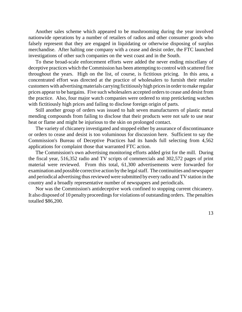Another sales scheme which appeared to be mushrooming during the year involved nationwide operations by a number of retailers of radios and other consumer goods who falsely represent that they are engaged in liquidating or otherwise disposing of surplus merchandise. After halting one company with a cease and desist order, the FTC launched investigations of other such companies on the west coast and in the South.

To these broad-scale enforcement efforts were added the never ending miscellany of deceptive practices which the Commission has been attempting to control with scattered fire throughout the years. High on the list, of course, is fictitious pricing. In this area, a concentrated effort was directed at the practice of wholesalers to furnish their retailer customers with advertising materials carrying fictitiously high prices in order to make regular prices appear to be bargains. Five such wholesalers accepted orders to cease and desist from the practice. Also, four major watch companies were ordered to stop preticketing watches with fictitiously high prices and failing to disclose foreign origin of parts.

Still another group of orders was issued to halt seven manufacturers of plastic metal mending compounds from failing to disclose that their products were not safe to use near heat or flame and might be injurious to the skin on prolonged contact.

The variety of chicanery investigated and stopped either by assurance of discontinuance or orders to cease and desist is too voluminous for discussion here. Sufficient to say the Commission's Bureau of Deceptive Practices had its hands full selecting from 4,562 applications for complaint those that warranted FTC action.

The Commission's own advertising monitoring efforts added grist for the mill. During the fiscal year, 516,352 radio and TV scripts of commercials and 302,572 pages of print material were reviewed. From this total, 61,300 advertisements were forwarded for examination and possible corrective action by the legal staff. The continuities and newspaper and periodical advertising thus reviewed were submitted by every radio and TV station in the country and a broadly representative number of newspapers and periodicals.

Nor was the Commission's antideceptive work confined to stopping current chicanery. It also disposed of 10 penalty proceedings for violations of outstanding orders. The penalties totalled \$86,200.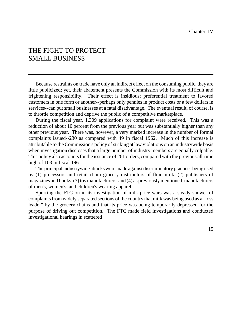#### THE FIGHT TO PROTECT SMALL BUSINESS

Because restraints on trade have only an indirect effect on the consuming public, they are little publicized; yet, their abatement presents the Commission with its most difficult and frightening responsibility. Their effect is insidious; preferential treatment to favored customers in one form or another--perhaps only pennies in product costs or a few dollars in services--can put small businesses at a fatal disadvantage. The eventual result, of course, is to throttle competition and deprive the public of a competitive marketplace.

During the fiscal year, 1,309 applications for complaint were received. This was a reduction of about 10 percent from the previous year but was substantially higher than any other previous year. There was, however, a very marked increase in the number of formal complaints issued--230 as compared with 49 in fiscal 1962. Much of this increase is attributable to the Commission's policy of striking at law violations on an industrywide basis when investigation discloses that a large number of industry members are equally culpable. This policy also accounts for the issuance of 261 orders, compared with the previous all-time high of 103 in fiscal 1961.

The principal industrywide attacks weremade against discriminatory practices being used by (1) processors and retail chain grocery distributors of fluid milk, (2) publishers of magazines and books,  $(3)$  toy manufacturers, and  $(4)$  as previously mentioned, manufacturers of men's, women's, and children's wearing apparel.

Spurring the FTC on in its investigation of milk price wars was a steady shower of complaints from widely separated sections of the country that milk was being used as a "loss" leader" by the grocery chains and that its price was being temporarily depressed for the purpose of driving out competition. The FTC made field investigations and conducted investigational hearings in scattered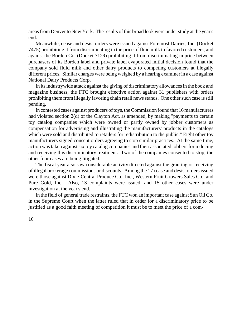areasfrom Denver to New York. The results of this broad look were under study at the year's end.

Meanwhile, cease and desist orders were issued against Foremost Dairies, Inc. (Docket 7475) prohibiting it from discriminating in the price of fluid milk to favored customers, and against the Borden Co. (Docket 7129) prohibiting it from discriminating in price between purchasers of its Borden label and private label evaporated initial decision found that the company sold fluid milk and other dairy products to competing customers at illegally different prices. Similar charges were being weighed by a hearing examiner in a case against National Dairy Products Corp.

In its industrywide attack against the giving of discriminatory allowances in the book and magazine business, the FTC brought effective action against 31 publishers with orders prohibiting them from illegally favoring chain retail newsstands. One other such case is still pending.

In contested cases against producers of toys, the Commission found that 16 manufacturers had violated section 2(d) of the Clayton Act, as amended, by making "payments to certain toy catalog companies which were owned or partly owned by jobber customers as compensation for advertising and illustrating the manufacturers' products in the catalogs which were sold and distributed to retailers for redistribution to the public." Eight other toy manufacturers signed consent orders agreeing to stop similar practices. At the same time, action was taken against six toy catalog companies and their associated jobbers for inducing and receiving this discriminatory treatment. Two of the companies consented to stop; the other four cases are being litigated.

The fiscal year also saw considerable activity directed against the granting or receiving of illegal brokerage commissions or discounts. Among the 17 cease and desist orders issued were those against Dixie-Central Produce Co., Inc., Western Fruit Growers Sales Co., and Pure Gold, Inc. Also, 13 complaints were issued, and 15 other cases were under investigation at the year's end.

In the field of general trade restraints, the FTC won an important case against Sun OilCo. in the Supreme Court when the latter ruled that in order for a discriminatory price to be justified as a good faith meeting of competition it must be to meet the price of a com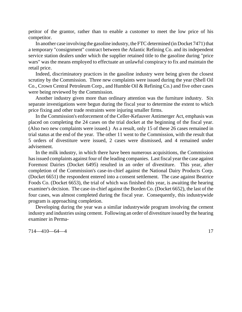petitor of the grantor, rather than to enable a customer to meet the low price of his competitor.

In another case involving the gasoline industry, the FTC determined (in Docket 7471) that a temporary "consignment" contract between the Atlantic Refining Co. and its independent service station dealers under which the supplier retained title to the gasoline during "price wars" was the means employed to effectuate an unlawful conspiracy to fix and maintain the retail price.

Indeed, discriminatory practices in the gasoline industry were being given the closest scrutiny by the Commission. Three new complaints were issued during the year (Shell Oil Co., Crown Central Petroleum Corp., and Humble Oil & Refining Co.) and five other cases were being reviewed by the Commission.

Another industry given more than ordinary attention was the furniture industry. Six separate investigations were begun during the fiscal year to determine the extent to which price fixing and other trade restraints were injuring smaller firms.

In the Commission's enforcement of the Celler-Kefauver Antimerger Act, emphasis was placed on completing the 24 cases on the trial docket at the beginning of the fiscal year. (Also two new complaints were issued.) As a result, only 15 of these 26 cases remained in trial status at the end of the year. The other 11 went to the Commission, with the result that 5 orders of divestiture were issued, 2 cases were dismissed, and 4 remained under advisement.

In the milk industry, in which there have been numerous acquisitions, the Commission hasissued complaints against four of the leading companies. Last fiscal year the case against Foremost Dairies (Docket 6495) resulted in an order of divestiture. This year, after completion of the Commission's case-in-chief against the National Dairy Products Corp. (Docket 6651) the respondent entered into a consent settlement. The case against Beatrice Foods Co. (Docket 6653), the trial of which was finished this year, is awaiting the hearing examiner's decision. The case-in-chief against the Borden Co. (Docket 6652), the last of the four cases, was almost completed during the fiscal year. Consequently, this industrywide program is approaching completion.

Developing during the year was a similar industrywide program involving the cement industry and industries using cement. Following an order of divestiture issued by the hearing examiner in Perma-

 $714 - 410 - 64 - 4$  17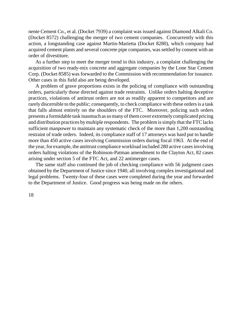nente Cement Co., et al. (Docket 7939) a complaint was issued against Diamond Alkali Co. (Docket 8572) challenging the merger of two cement companies. Concurrently with this action, a longstanding case against Martin-Marietta (Docket 8280), which company had acquired cement plants and several concrete pipe companies, was settled by consent with an order of divestiture.

As a further step to meet the merger trend in this industry, a complaint challenging the acquisition of two ready-mix concrete and aggregate companies by the Lone Star Cement Corp. (Docket 8585) was forwarded to the Commission with recommendation for issuance. Other cases in this field also are being developed.

A problem of grave proportions exists in the policing of compliance with outstanding orders, particularly those directed against trade restraints. Unlike orders halting deceptive practices, violations of antitrust orders are not as readily apparent to competitors and are rarely discernible to the public; consequently, to check compliance with these orders is a task that falls almost entirely on the shoulders of the FTC. Moreover, policing such orders presents a formidable task inasmuch assomanyofthemcover extremelycomplicated pricing and distribution practices bymultiple respondents. The problem is simply that the FTC lacks sufficient manpower to maintain any systematic check of the more than 1,200 outstanding restraint of trade orders. Indeed, its compliance staff of 17 attorneys was hard put to handle more than 450 active cases involving Commission orders during fiscal 1963. At the end of the year, for example, the antitrust compliance workload included 280 active cases involving orders halting violations of the Robinson-Patman amendment to the Clayton Act, 82 cases arising under section 5 of the FTC Act, and 22 antimerger cases.

The same staff also continued the job of checking compliance with 56 judgment cases obtained by the Department of Justice since 1940, all involving complex investigational and legal problems. Twenty-four of these cases were completed during the year and forwarded to the Department of Justice. Good progress was being made on the others.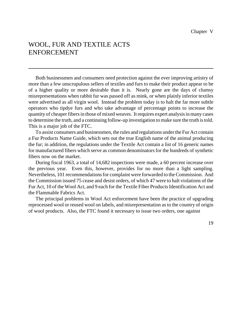# WOOL, FUR AND TEXTILE ACTS ENFORCEMENT

Both businessmen and consumers need protection against the ever improving artistry of more than a few unscrupulous sellers of textiles and furs to make their product appear to be of a higher quality or more desirable than it is. Nearly gone are the days of clumsy misrepresentations when rabbit fur was passed off as mink, or when plainly inferior textiles were advertised as all virgin wool. Instead the problem today is to halt the far more subtle operators who tipdye furs and who take advantage of percentage points to increase the quantity of cheaper fibersin those of mixed weaves. It requires expert analysis in many cases to determine the truth, and a continuing follow-up investigation to make sure the truth istold. This is a major job of the FTC.

To assist consumers and businessmen, the rules and regulations underthe Fur Act contain a Fur Products Name Guide, which sets out the true English name of the animal producing the fur; in addition, the regulations under the Textile Act contain a list of 16 generic names for manufactured fibers which serve as common denominators for the hundreds of synthetic fibers now on the market.

During fiscal 1963, a total of 14,682 inspections were made, a 60 percent increase over the previous year. Even this, however, provides for no more than a light sampling. Nevertheless, 101 recommendations for complaint were forwarded to the Commission. And the Commission issued 75 cease and desist orders, of which 47 were to halt violations of the Fur Act, 10 of the Wool Act, and 9 each for the Textile Fiber Products Identification Act and the Flammable Fabrics Act.

The principal problems in Wool Act enforcement have been the practice of upgrading reprocessed wool or reused wool on labels, and misrepresentation as to the country of origin of wool products. Also, the FTC found it necessary to issue two orders, one against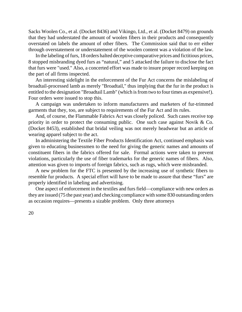Sacks Woolen Co., et al. (Docket 8436) and Vikingo, Ltd., et al. (Docket 8479) on grounds that they had understated the amount of woolen fibers in their products and consequently overstated on labels the amount of other fibers. The Commission said that to err either through overstatement or understatement of the woolen content was a violation of the law.

In the labeling of furs, 18 orders halted deceptive comparative prices and fictitious prices, 8 stopped misbranding dyed furs as "natural," and 5 attacked the failure to disclose the fact that furs were "used." Also, a concerted effort was made to insure proper record keeping on the part of all firms inspected.

An interesting sidelight in the enforcement of the Fur Act concerns the mislabeling of broadtail-processed lamb as merely "Broadtail," thus implying that the fur in the product is entitled to the designation "Broadtail Lamb" (which isfrom two to four times as expensive!). Four orders were issued to stop this.

A campaign was undertaken to inform manufacturers and marketers of fur-trimmed garments that they, too, are subject to requirements of the Fur Act and its rules.

And, of course, the Flammable Fabrics Act was closely policed. Such cases receive top priority in order to protect the consuming public. One such case against Novik & Co. (Docket 8453), established that bridal veiling was not merely headwear but an article of wearing apparel subject to the act.

In administering the Textile Fiber Products Identification Act, continued emphasis was given to educating businessmen to the need for giving the generic names and amounts of constituent fibers in the fabrics offered for sale. Formal actions were taken to prevent violations, particularly the use of fiber trademarks for the generic names of fibers. Also, attention was given to imports of foreign fabrics, such as rugs, which were misbranded.

A new problem for the FTC is presented by the increasing use of synthetic fibers to resemble fur products. A special effort will have to be made to assure that these "furs" are properly identified in labeling and advertising.

One aspect of enforcement in the textiles and furs field—compliance with new orders as they are issued (75 the past year) and checking compliance with some 830 outstanding orders as occasion requires—presents a sizable problem. Only three attorneys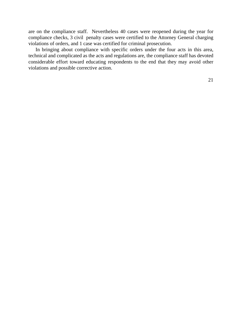are on the compliance staff. Nevertheless 40 cases were reopened during the year for compliance checks, 3 civil penalty cases were certified to the Attorney General charging violations of orders, and 1 case was certified for criminal prosecution.

In bringing about compliance with specific orders under the four acts in this area, technical and complicated as the acts and regulations are, the compliance staff has devoted considerable effort toward educating respondents to the end that they may avoid other violations and possible corrective action.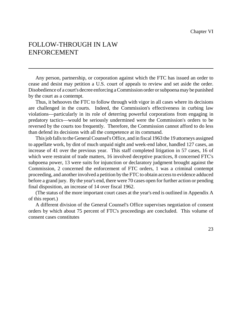## FOLLOW-THROUGH IN LAW ENFORCEMENT

Any person, partnership, or corporation against which the FTC has issued an order to cease and desist may petition a U.S. court of appeals to review and set aside the order. Disobedience of a court's decree enforcing a Commission order or subpoena may be punished by the court as a contempt.

Thus, it behooves the FTC to follow through with vigor in all cases where its decisions are challenged in the courts. Indeed, the Commission's effectiveness in curbing law violations—particularly in its role of deterring powerful corporations from engaging in predatory tactics—would be seriously undermined were the Commission's orders to be reversed by the courts too frequently. Therefore, the Commission cannot afford to do less than defend its decisions with all the competence at its command.

This job falls to the General Counsel's Office, and in fiscal 1963 the 19 attorneys assigned to appellate work, by dint of much unpaid night and week-end labor, handled 127 cases, an increase of 41 over the previous year. This staff completed litigation in 57 cases, 16 of which were restraint of trade matters, 16 involved deceptive practices, 8 concerned FTC's subpoena power, 13 were suits for injunction or declaratory judgment brought against the Commission, 2 concerned the enforcement of FTC orders, 1 was a criminal contempt proceeding, and another involved a petition by the FTC to obtain accessto evidence adduced before a grand jury. By the year's end, there were 70 cases open for further action or pending final disposition, an increase of 14 over fiscal 1962.

(The status of the more important court cases at the year's end is outlined in Appendix A of this report.)

A different division of the General Counsel's Office supervises negotiation of consent orders by which about 75 percent of FTC's proceedings are concluded. This volume of consent cases constitutes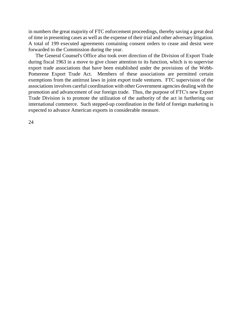in numbers the great majority of FTC enforcement proceedings, thereby saving a great deal of time in presenting cases as well as the expense of their trial and other adversary litigation. A total of 199 executed agreements containing consent orders to cease and desist were forwarded to the Commission during the year.

The General Counsel's Office also took over direction of the Division of Export Trade during fiscal 1963 in a move to give closer attention to its function, which is to supervise export trade associations that have been established under the provisions of the Webb-Pomerene Export Trade Act. Members of these associations are permitted certain exemptions from the antitrust laws in joint export trade ventures. FTC supervision of the associations involves careful coordination with other Government agencies dealing with the promotion and advancement of our foreign trade. Thus, the purpose of FTC's new Export Trade Division is to promote the utilization of the authority of the act in furthering our international commerce. Such stepped-up coordination in the field of foreign marketing is expected to advance American exports in considerable measure.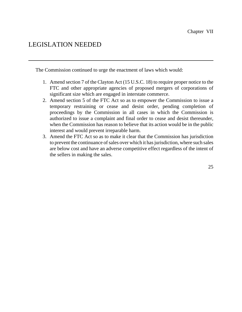## LEGISLATION NEEDED

The Commission continued to urge the enactment of laws which would:

- 1. Amend section 7 of the Clayton Act (15 U.S.C. 18) to require proper notice to the FTC and other appropriate agencies of proposed mergers of corporations of significant size which are engaged in interstate commerce.
- 2. Amend section 5 of the FTC Act so as to empower the Commission to issue a temporary restraining or cease and desist order, pending completion of proceedings by the Commission in all cases in which the Commission is authorized to issue a complaint and final order to cease and desist thereunder, when the Commission has reason to believe that its action would be in the public interest and would prevent irreparable harm.
- 3. Amend the FTC Act so as to make it clear that the Commission has jurisdiction to prevent the continuance of sales over which it has jurisdiction, where such sales are below cost and have an adverse competitive effect regardless of the intent of the sellers in making the sales.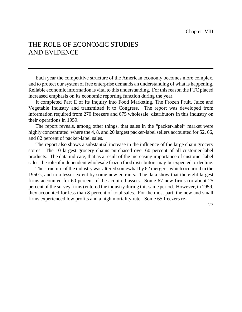## THE ROLE OF ECONOMIC STUDIES AND EVIDENCE

Each year the competitive structure of the American economy becomes more complex, and to protect our system of free enterprise demands an understanding of what is happening. Reliable economic information is vital to this understanding. For this reason the FTC placed increased emphasis on its economic reporting function during the year.

It completed Part II of its Inquiry into Food Marketing, The Frozen Fruit, Juice and Vegetable Industry and transmitted it to Congress. The report was developed from information required from 270 freezers and 675 wholesale distributors in this industry on their operations in 1959.

The report reveals, among other things, that sales in the "packer-label" market were highly concentrated where the 4, 8, and 20 largest packer-label sellers accounted for 52, 66, and 82 percent of packer-label sales.

The report also shows a substantial increase in the influence of the large chain grocery stores. The 10 largest grocery chains purchased over 60 percent of all customer-label products. The data indicate, that as a result of the increasing importance of customer label sales, the role of independent wholesale frozen food distributors may be expected to decline.

The structure of the industry was altered somewhat by 62 mergers, which occurred in the 1950's, and to a lesser extent by some new entrants. The data show that the eight largest firms accounted for 60 percent of the acquired assets. Some 67 new firms (or about 25 percent of the survey firms) entered the industry during thissame period. However, in 1959, they accounted for less than 8 percent of total sales. For the most part, the new and small firms experienced low profits and a high mortality rate. Some 65 freezers re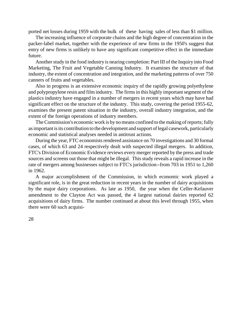ported net losses during 1959 with the bulk of these having sales of less than \$1 million.

The increasing influence of corporate chains and the high degree of concentration in the packer-label market, together with the experience of new firms in the 1950's suggest that entry of new firms is unlikely to have any significant competitive effect in the immediate future.

Another study in the food industry is nearing completion: Part III of the Inquiry into Food Marketing, The Fruit and Vegetable Canning Industry. It examines the structure of that industry, the extent of concentration and integration, and the marketing patterns of over 750 canners of fruits and vegetables.

Also in progress is an extensive economic inquiry of the rapidly growing polyethylene and polypropylene resin and film industry. The firms in this highly important segment of the plastics industry have engaged in a number of mergers in recent years which may have had significant effect on the structure of the industry. This study, covering the period 1955-62, examines the present patent situation in the industry, overall industry integration, and the extent of the foreign operations of industry members.

The Commission's economic work is by no means confined to the making of reports; fully asimportant isits contribution to the development and support of legal casework, particularly economic and statistical analyses needed in antitrust actions.

During the year, FTC economists rendered assistance on 70 investigations and 30 formal cases, of which 63 and 24 respectively dealt with suspected illegal mergers. In addition, FTC's Division of Economic Evidence reviews every merger reported by the press and trade sources and screens out those that might be illegal. This study reveals a rapid increase in the rate of mergers among businesses subject to FTC's jurisdiction--from 703 in 1951 to 1,260 in 1962.

A major accomplishment of the Commission, in which economic work played a significant role, is in the great reduction in recent years in the number of dairy acquisitions by the major dairy corporations. As late as 1950, the year when the Celler-Kefauver amendment to the Clayton Act was passed, the 4 largest national dairies reported 62 acquisitions of dairy firms. The number continued at about this level through 1955, when there were 60 such acquisi-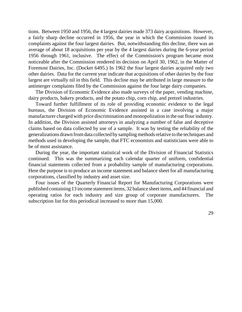tions. Between 1950 and 1956, the 4 largest dairies made 373 dairy acquisitions. However, a fairly sharp decline occurred in 1956, the year in which the Commission issued its complaints against the four largest dairies. But, notwithstanding this decline, there was an average of about 18 acquisitions per year by the 4 largest dairies during the 6-year period 1956 through 1961, inclusive. The effect of the Commission's program became most noticeable after the Commission rendered its decision on April 30, 1962, in the Matter of Foremost Dairies, Inc. (Docket 6495.) In 1962 the four largest dairies acquired only two other dairies. Data for the current year indicate that acquisitions of other dairies by the four largest are virtually nil in this field. This decline may be attributed in large measure to the antimerger complaints filed by the Commission against the four large dairy companies.

The Division of Economic Evidence also made surveys of the paper, vending machine, dairy products, bakery products, and the potato chip, corn chip, and pretzel industries.

Toward further fulfillment of its role of providing economic evidence to the legal bureaus, the Division of Economic Evidence assisted in a case involving a major manufacturer charged with price discrimination and monopolization in the oat flour industry. In addition, the Division assisted attorneys in analyzing a number of false and deceptive claims based on data collected by use of a sample. It was by testing the reliability of the generalizations drawn from data collected by sampling methods relative to the techniques and methods used in developing the sample, that FTC economists and statisticians were able to be of most assistance.

During the year, the important statistical work of the Division of Financial Statistics continued. This was the summarizing each calendar quarter of uniform, confidential financial statements collected from a probability sample of manufacturing corporations. Here the purpose is to produce an income statement and balance sheet for all manufacturing corporations, classified by industry and asset size.

Four issues of the Quarterly Financial Report for Manufacturing Corporations were published containing 13 income statement items, 32 balance sheet items, and 44 financial and operating ratios for each industry and size group of corporate manufacturers. The subscription list for this periodical increased to more than 15,000.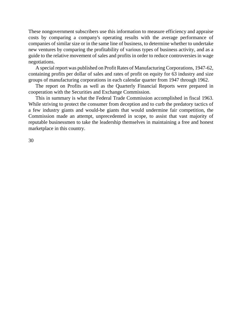These nongovernment subscribers use this information to measure efficiency and appraise costs by comparing a company's operating results with the average performance of companies of similar size or in the same line of business, to determine whether to undertake new ventures by comparing the profitability of various types of business activity, and as a guide to the relative movement of sales and profits in order to reduce controversies in wage negotiations.

A special report was published on Profit Rates of Manufacturing Corporations, 1947-62, containing profits per dollar of sales and rates of profit on equity for 63 industry and size groups of manufacturing corporations in each calendar quarter from 1947 through 1962.

The report on Profits as well as the Quarterly Financial Reports were prepared in cooperation with the Securities and Exchange Commission.

This in summary is what the Federal Trade Commission accomplished in fiscal 1963. While striving to protect the consumer from deception and to curb the predatory tactics of a few industry giants and would-be giants that would undermine fair competition, the Commission made an attempt, unprecedented in scope, to assist that vast majority of reputable businessmen to take the leadership themselves in maintaining a free and honest marketplace in this country.

30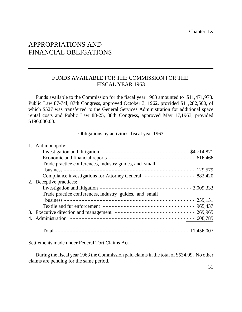## APPROPRIATIONS AND FINANCIAL OBLIGATIONS

#### FUNDS AVAILABLE FOR THE COMMISSION FOR THE FISCAL YEAR 1963

Funds available to the Commission for the fiscal year 1963 amounted to \$11,471,973. Public Law 87-74l, 87th Congress, approved October 3, 1962, provided \$11,282,500, of which \$527 was transferred to the General Services Administration for additional space rental costs and Public Law 88-25, 88th Congress, approved May 17,1963, provided \$190,000.00.

Obligations by activities, fiscal year 1963

| 1. Antimonopoly:                                                        |  |
|-------------------------------------------------------------------------|--|
| Investigation and litigation --------------------------- $$4,714,871$   |  |
|                                                                         |  |
| Trade practice conferences, industry guides, and small                  |  |
|                                                                         |  |
| Compliance investigations for Attorney General --------------- 882,420  |  |
| 2. Deceptive practices:                                                 |  |
|                                                                         |  |
| Trade practice conferences, industry guides, and small                  |  |
|                                                                         |  |
| Textile and fur enforcement ------------------------------- 965,437     |  |
| 3. Executive direction and management ------------------------- 269,965 |  |
|                                                                         |  |
|                                                                         |  |

Settlements made under Federal Tort Claims Act

During the fiscal year 1963 the Commission paid claims in the total of \$534.99. No other claims are pending for the same period.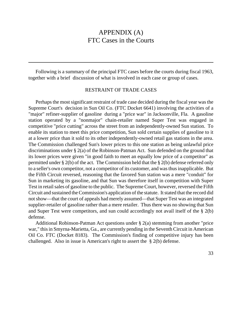## APPENDIX (A) FTC Cases in the Courts

Following is a summary of the principal FTC cases before the courts during fiscal 1963, together with a brief discussion of what is involved in each case or group of cases.

#### RESTRAINT OF TRADE CASES

Perhaps the most significant restraint of trade case decided during the fiscal year was the Supreme Court's decision in Sun Oil Co. (FTC Docket 6641) involving the activities of a "major" refiner-supplier of gasoline during a "price war" in Jacksonville, Fla. A gasoline station operated by a "nonmajor" chain-retailer named Super Test was engaged in competitive "price cutting" across the street from an independently-owned Sun station. To enable its station to meet this price competition, Sun sold certain supplies of gasoline to it at a lower price than it sold to its other independently-owned retail gas stations in the area. The Commission challenged Sun's lower prices to this one station as being unlawful price discriminations under § 2(a) of the Robinson-Patman Act. Sun defended on the ground that its lower prices were given "in good faith to meet an equally low price of a competitor" as permitted under § 2(b) of the act. The Commission held that the § 2(b) defense referred only to a seller's own competitor, not a competitor of its customer, and wasthusinapplicable. But the Fifth Circuit reversed, reasoning that the favored Sun station was a mere "conduit" for Sun in marketing its gasoline, and that Sun was therefore itself in competition with Super Test in retail sales of gasoline to the public. The Supreme Court, however, reversed the Fifth Circuit and sustained theCommission's application of the statute. It stated that the record did notshow—that the court of appeals had merely assumed—that Super Test was an integrated supplier-retailer of gasoline rather than a mere retailer. Thus there was no showing that Sun and Super Test were competitors, and sun could accordingly not avail itself of the § 2(b) defense.

Additional Robinson-Patman Act questions under § 2(a) stemming from another "price war," this in Smyrna-Marietta, Ga., are currently pending in the Seventh Circuit in American Oil Co. FTC (Docket 8183). The Commission's finding of competitive injury has been challenged. Also in issue is American's right to assert the § 2(b) defense.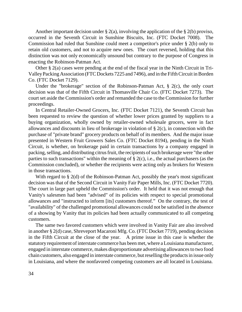Another important decision under  $\S 2(a)$ , involving the application of the  $\S 2(b)$  proviso, occurred in the Seventh Circuit in Sunshine Biscuits, Inc. (FTC Docket 7008). The Commission had ruled that Sunshine could meet a competitor's price under § 2(b) only to retain old customers, and not to acquire new ones. The court reversed, holding that this distinction was not only economically unsound but contrary to the purpose of Congress in enacting the Robinson-Patman Act.

Other § 2(a) cases were pending at the end of the fiscal year in the Ninth Circuit in Tri-ValleyPacking Association (FTC Dockets 7225 and 7496), and in the FifthCircuit inBorden Co. (FTC Docket 7129).

Under the "brokerage" section of the Robinson-Patman Act, § 2(c), the only court decision was that of the Fifth Circuit in Thomasville Chair Co. (FTC Docket 7273). The court set aside the Commission's order and remanded the case to the Commission for further proceedings.

In Central Retailer-Owned Grocers, Inc. (FTC Docket 7121), the Seventh Circuit has been requested to review the question of whether lower prices granted by suppliers to a buying organization, wholly owned by retailer-owned wholesale grocers, were in fact allowances and discounts in lieu of brokerage in violation of § 2(c), in connection with the purchase of "private brand" grocery products on behalf of its members. And the major issue presented in Western Fruit Growers Sales Co. (FTC Docket 8194), pending in the Ninth Circuit, is whether, on brokerage paid in certain transactions by a company engaged in packing, selling, and distributing citrus fruit, the recipients of such brokerage were "the other parties to such transactions" within the meaning of § 2(c), i.e., the actual purchasers (as the Commission concluded), or whether the recipients were acting only as brokers for Western in those transactions.

With regard to § 2(d) of the Robinson-Patman Act, possibly the year's most significant decision was that of the Second Circuit in Vanity Fair Paper Mills, Inc. (FTC Docket 7720). The court in large part upheld the Commission's order. It held that it was not enough that Vanity's salesmen had been "advised" of its policies with respect to special promotional allowances and "instructed to inform [its] customers thereof." On the contrary, the test of "availability" of the challenged promotional allowances could not be satisfied in the absence of a showing by Vanity that its policies had been actually communicated to all competing customers.

The same two favored customers which were involved in Vanity Fair are also involved in another § 2(d) case, Shreveport Macaroni Mfg. Co. (FTC Docket 7719), pending decision in the Fifth Circuit at the close of the year. A prime issue in this case is whether the statutory requirement of interstate commerce has been met, where a Louisiana manufacturer, engaged in interstate commerce, makes disproportionate advertising allowances to two food chain customers, also engaged in interstate commerce, butreselling the productsin issue only in Louisiana, and where the nonfavored competing customers are all located in Louisiana.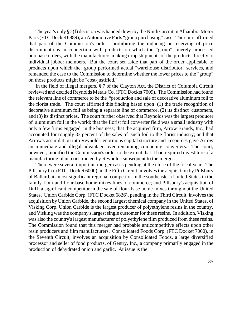The year's only § 2(f) decision was handed down by the Ninth Circuit in Alhambra Motor Parts(FTC Docket 6889), an Automotive Parts "group purchasing" case. The court affirmed that part of the Commission's order prohibiting the inducing or receiving of price discriminations in connection with products on which the "group" merely processed purchase orders, with the manufacturers making drop shipments of the products directly to individual jobber members. But the court set aside that part of the order applicable to products upon which the group performed actual "warehouse distributor" services, and remanded the case to the Commission to determine whether the lower prices to the "group" on those products might be "cost-justified."

In the field of illegal mergers, § 7 of the Clayton Act, the District of Columbia Circuit reviewed and decided Reynolds Metals Co. (FTC Docket 7009). The Commission had found the relevant line of commerce to be the "production and sale of decorative aluminum foil to the florist trade." The court affirmed this finding based upon (1) the trade recognition of decorative aluminum foil as being a separate line of commerce, (2) its distinct customers, and (3) its distinct prices. The court further observed that Reynolds was the largest producer of aluminum foil in the world; that the florist foil converter field was a small industry with only a few firms engaged in the business; that the acquired firm, Arrow Brands, Inc., had accounted for roughly 33 percent of the sales of such foil to the florist industry; and that Arrow's assimilation into Reynolds' enormous capital structure and resources gave Arrow an immediate and illegal advantage over remaining competing converters. The court, however, modified the Commission's order to the extent that it had required divestiture of a manufacturing plant constructed by Reynolds subsequent to the merger.

There were several important merger cases pending at the close of the fiscal year. The Pillsbury Co. (FTC Docket 6000), in the Fifth Circuit, involves the acquisition by Pillsbury of Ballard, its most significant regional competitor in the southeastern United States in the family-flour and flour-base home-mixes lines of commerce; and Pillsbury's acquisition of Duff, a significant competitor in the sale of flour-base home-mixes throughout the United States. Union Carbide Corp. (FTC Docket 6826), pending in the Third Circuit, involves the acquisition by Union Carbide, the second largest chemical company in the United States, of Visking Corp. Union Carbide is the largest producer of polyethylene resins in the country, and Visking was the company's largest single customer for these resins. In addition, Visking was also the country's largest manufacturer of polyethylene film produced from these resins. The Commission found that this merger had probable anticompetitive effects upon other resin producers and film manufacturers. Consolidated Foods Corp. (FTC Docket 7000), in the Seventh Circuit, involves an acquisition by Consolidated Foods, a large diversified processor and seller of food products, of Gentry, Inc., a company primarily engaged in the production of dehydrated onion and garlic. At issue is the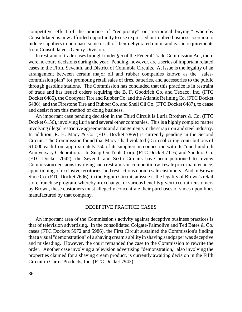competitive effect of the practice of "reciprocity" or "reciprocal buying," whereby Consolidated is now afforded opportunity to use expressed or implied business coercion to induce suppliers to purchase some or all of their dehydrated onion and garlic requirements from Consolidated's Gentry Division.

In restraint of trade cases brought under § 5 of the Federal Trade Commission Act, there were no court decisions during the year. Pending, however, are a series of important related cases in the Fifth, Seventh, and District of Columbia Circuits. At issue is the legality of an arrangement between certain major oil and rubber companies known as the "salescommission plan" for promoting retail sales of tires, batteries, and accessories to the public through gasoline stations. The Commission has concluded that this practice is in restraint of trade and has issued orders requiring the B. F. Goodrich Co. and Texaco, Inc. (FTC Docket 6485), the Goodyear Tire and Rubber Co. and the Atlantic Refining Co. (FTC Docket 6486), and the Firestone Tire and Rubber Co. and Shell Oil Co. (FTC Docket 6487), to cease and desist from this method of doing business.

An important case pending decision in the Third Circuit is Luria Brothers & Co. (FTC Docket 6156), involving Luria and several other companies. This is a highly complex matter involving illegal restrictive agreements and arrangements in the scrap iron and steel industry. In addition, R. H. Macy & Co. (FTC Docket 7869) is currently pending in the Second Circuit. The Commission found that Macy's had violated § 5 in soliciting contributions of \$1,000 each from approximately 750 of its suppliers in connection with its "one-hundreth Anniversary Celebration." In Snap-On Tools Corp. (FTC Docket 7116) and Sandura Co. (FTC Docket 7042), the Seventh and Sixth Circuits have been petitioned to review Commission decisions involving such restraints on competition as resale price maintenance, apportioning of exclusive territories, and restrictions upon resale customers. And in Brown Shoe Co. (FTC Docket 7606), in the Eighth Circuit, at issue is the legality of Brown's retail store franchise program, wherebyin exchange for various benefits given to certain customers by Brown, these customers must allegedly concentrate their purchases of shoes upon lines manufactured by that company.

#### DECEPTIVE PRACTICE CASES

An important area of the Commission's activity against deceptive business practices is that of television advertising. In the consolidated Colgate-Palmolive and Ted Bates & Co. cases (FTC Dockets 5972 and 5986), the First Circuit sustained the Commission's finding that a visual "demonstration" of a shaving cream's ability in shaving sandpaper was deceptive and misleading. However, the court remanded the case to the Commission to rewrite the order. Another case involving a television advertising "demonstration," also involving the properties claimed for a shaving cream product, is currently awaiting decision in the Fifth Circuit in Carter Products, Inc. (FTC Docket 7943).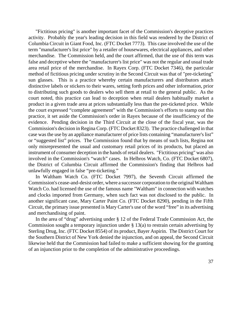"Fictitious pricing" is another important facet of the Commission's deceptive practices activity. Probably the year's leading decision in this field was rendered by the District of Columbia Circuit in Giant Food, Inc. (FTC Docket 7773). This case involved the use of the term "manufacturer's list price" by a retailer of housewares, electrical appliances, and other merchandise. The Commission held, and the court affirmed, that the use of this term was false and deceptive where the "manufacturer's list price" was not the regular and usual trade area retail price of the merchandise. In Rayex Corp. (FTC Docket 7346), the particular method of fictitious pricing under scrutiny in the Second Circuit was that of "pre-ticketing" sun glasses. This is a practice whereby certain manufacturers and distributors attach distinctive labels or stickers to their wares, setting forth prices and other information, prior to distributing such goods to dealers who sell them at retail to the general public. As the court noted, this practice can lead to deception when retail dealers habitually market a product in a given trade area at prices substantially less than the pre-ticketed price. While the court expressed "complete agreement" with the Commission's efforts to stamp out this practice, it set aside the Commission's order in Rayex because of the insufficiency of the evidence. Pending decision in the Third Circuit at the close of the fiscal year, was the Commission's decision in Regina Corp. (FTC Docket 8323). The practice challenged in that case was the use by an appliance manufacturer of price lists containing "manufacturer's list" or "suggested list" prices. The Commission found that by means of such lists, Regina not only misrepresented the usual and customary retail prices of its products, but placed an instrument of consumer deception in the hands of retail dealers. "Fictitious pricing" was also involved in the Commission's "watch" cases. In Helbros Watch, Co. (FTC Docket 6807), the District of Columbia Circuit affirmed the Commission's finding that Helbros had unlawfully engaged in false "pre-ticketing."

In Waltham Watch Co. (FTC Docket 7997), the Seventh Circuit affirmed the Commission's cease-and-desist order, where a successor corporation to the original Waltham Watch Co. had licensed the use of the famous name "Waltham" in connection with watches and clocks imported from Germany, when such fact was not disclosed to the public. In another significant case, Mary Carter Paint Co. (FTC Docket 8290), pending in the Fifth Circuit, the primary issue presented is Mary Carter's use of the word "free" in its advertising and merchandising of paint.

In the area of "drug" advertising under § 12 of the Federal Trade Commission Act, the Commission sought a temporary injunction under § 13(a) to restrain certain advertising by Sterling Drug, Inc. (FTC Docket 8554) of its product, Bayer Aspirin. The District Court for the Southern District of New York denied the injunction, and on appeal, the Second Circuit likewise held that the Commission had failed to make a sufficient showing for the granting of an injunction prior to the completion of the administrative proceedings.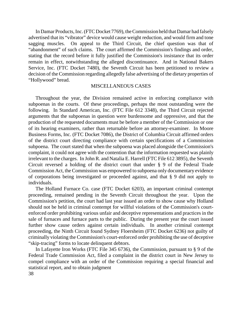In Damar Products, Inc. (FTC Docket 7769), the Commission held that Damar had falsely advertised that its "vibrator" device would cause weight reduction, and would firm and tone sagging muscles. On appeal to the Third Circuit, the chief question was that of "abandonment" of such claims. The court affirmed the Commission's findings and order, stating that the record before it fully justified the Commission's insistance that its order remain in effect, notwithstanding the alleged discontinuance. And in National Bakers Service, Inc. (FTC Docket 7480), the Seventh Circuit has been petitioned to review a decision of the Commission regarding allegedly false advertising of the dietary properties of "Hollywood" bread.

#### MISCELLANEOUS CASES

Throughout the year, the Division remained active in enforcing compliance with subpoenas in the courts. Of these proceedings, perhaps the most outstanding were the following. In Standard American, Inc. (FTC File 612 3348), the Third Circuit rejected arguments that the subpoenas in question were burdensome and oppressive, and that the production of the requested documents must be before a member of the Commission or one of its hearing examiners, rather than returnable before an attorney-examiner. In Moore Business Forms, Inc. (FTC Docket 7086), the District of Columbia Circuit affirmed orders of the district court directing compliance with certain specifications of a Commission subpoena. The court stated that when the subpoena was placed alongside the Commission's complaint, it could not agree with the contention that the information requested was plainly irrelevant to the charges. In John R. and Natalia E. Harrell (FTC File 612 3895), the Seventh Circuit reversed a holding of the district court that under § 9 of the Federal Trade Commission Act, the Commission was empowered to subpoena only documentary evidence of corporations being investigated or proceeded against, and that § 9 did not apply to individuals.

The Holland Furnace Co. case (FTC Docket 6203), an important criminal contempt proceeding, remained pending in the Seventh Circuit throughout the year. Upon the Commission's petition, the court had last year issued an order to show cause why Holland should not be held in criminal contempt for willful violations of the Commission's courtenforced order prohibiting various unfair and deceptive representations and practices in the sale of furnaces and furnace parts to the public. During the present year the court issued further show cause orders against certain individuals. In another criminal contempt proceeding, the Ninth Circuit found Sydney Floersheim (FTC Docket 6236) not guilty of criminally violating the Commission's court-enforced order prohibiting the use of deceptive "skip-tracing" forms to locate delinquent debtors.

In Lafayette Iron Works (FTC File 345 6736), the Commission, pursuant to § 9 of the Federal Trade Commission Act, filed a complaint in the district court in New Jersey to compel compliance with an order of the Commission requiring a special financial and statistical report, and to obtain judgment 38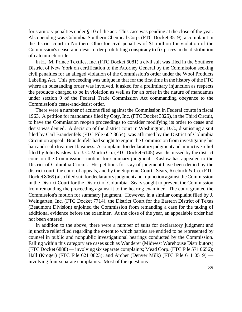for statutory penalties under § 10 of the act. This case was pending at the close of the year. Also pending was Columbia Southern Chemical Corp. (FTC Docket 3519), a complaint in the district court in Northern Ohio for civil penalties of \$1 million for violation of the Commission's cease-and-desist order prohibiting conspiracy to fix prices in the distribution of calcium chloride.

In H. M. Prince Textiles, Inc. (FTC Docket 6081) a civil suit was filed in the Southern District of New York on certification to the Attorney General by the Commission seeking civil penalties for an alleged violation of the Commission's order under the Wool Products Labeling Act. This proceeding was unique in that for the first time in the history of the FTC where an outstanding order was involved, it asked for a preliminary injunction as respects the products charged to be in violation as well as for an order in the nature of mandamus under section 9 of the Federal Trade Commission Act commanding obeyance to the Commission's cease-and-desist order.

There were a number of actions filed against the Commission in Federal courts in fiscal 1963. A petition for mandamus filed by Coty, Inc. (FTC Docket 3325), in the Third Circuit, to have the Commission reopen proceedings to consider modifying its order to cease and desist was denied. A decision of the district court in Washington, D.C., dismissing a suit filed by Carl Brandenfels (FTC File 602 3654), was affirmed by the District of Columbia Circuit on appeal. Brandenfels had sought to enjoin the Commission from investigating his hair and scalp treatment business. A complaint for declaratory judgment and injunctive relief filed by John Kaslow, t/a J. C. Martin Co. (FTC Docket 6145) was dismissed by the district court on the Commission's motion for summary judgment. Kaslow has appealed to the District of Columbia Circuit. His petitions for stay of judgment have been denied by the district court, the court of appeals, and by the Supreme Court. Sears, Roebuck & Co. (FTC Docket 8069) also filed suit for declaratory judgment and injunction against the Commission in the District Court for the District of Columbia. Sears sought to prevent the Commission from remanding the proceeding against it to the hearing examiner. The court granted the Commission's motion for summary judgment. However, in a similar complaint filed by J. Weingarten, Inc. (FTC Docket 7714), the District Court for the Eastern District of Texas (Beaumont Division) enjoined the Commission from remanding a case for the taking of additional evidence before the examiner. At the close of the year, an appealable order had not been entered.

In addition to the above, there were a number of suits for declaratory judgment and injunctive relief filed regarding the extent to which parties are entitled to be represented by counsel in public and nonpublic investigational hearings conducted by the Commission. Falling within this category are cases such as Wanderer (Midwest Warehouse Distributors) (FTC Docket 6888) — involving six separate complaints; Mead Corp. (FTC File 571 0656); Hall (Kroger) (FTC File 621 0823); and Archer (Denver Milk) (FTC File 611 0519) involving four separate complaints. Most of the questions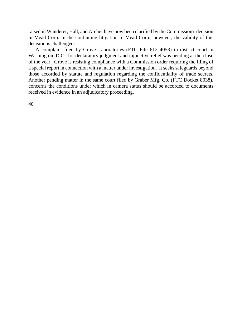raised in Wanderer, Hall, and Archer have now been clarified by the Commission's decision in Mead Corp. In the continuing litigation in Mead Corp., however, the validity of this decision is challenged.

A complaint filed by Grove Laboratories (FTC File 612 4053) in district court in Washington, D.C., for declaratory judgment and injunctive relief was pending at the close of the year. Grove is resisting compliance with a Commission order requiring the filing of a special report in connection with a matter under investigation. It seeks safeguards beyond those accorded by statute and regulation regarding the confidentiality of trade secrets. Another pending matter in the same court filed by Graber Mfg. Co. (FTC Docket 8038), concerns the conditions under which in camera status should be accorded to documents received in evidence in an adjudicatory proceeding.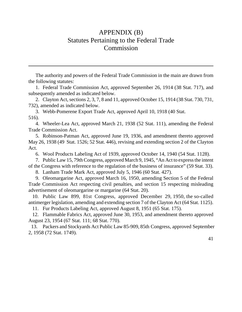# APPENDIX (B) Statutes Pertaining to the Federal Trade Commission

The authority and powers of the Federal Trade Commission in the main are drawn from the following statutes:

1. Federal Trade Commission Act, approved September 26, 1914 (38 Stat. 717), and subsequently amended as indicated below.

2. Clayton Act, sections 2, 3, 7, 8 and 11, approved October 15, 1914 (38 Stat. 730, 731, 732), amended as indicated below.

3. Webb-Pomerene Export Trade Act, approved April 10, 1918 (40 Stat. 516).

4. Wheeler-Lea Act, approved March 21, 1938 (52 Stat. 111), amending the Federal Trade Commission Act.

5. Robinson-Patman Act, approved June 19, 1936, and amendment thereto approved May 26, 1938 (49 Stat. 1526; 52 Stat. 446), revising and extending section 2 of the Clayton Act.

6. Wool Products Labeling Act of 1939, approved October 14, 1940 (54 Stat. 1128).

7. Public Law 15, 79thCongress, approved March 9, 1945, "An Act to expressthe intent of the Congress with reference to the regulation of the business of insurance" (59 Stat. 33).

8. Lanham Trade Mark Act, approved July 5, 1946 (60 Stat. 427).

9. Oleomargarine Act, approved March 16, 1950, amending Section 5 of the Federal Trade Commission Act respecting civil penalties, and section 15 respecting misleading advertisement of oleomargarine or margarine (64 Stat. 20).

 10. Public Law 899, 81st Congress, approved December 29, 1950, the so-called antimerger legislation, amending and extending section 7 of the Clayton Act (64 Stat. 1125).

11. Fur Products Labeling Act, approved August 8, 1951 (65 Stat. 175).

 12. Flammable Fabrics Act, approved June 30, 1953, and amendment thereto approved August 23, 1954 (67 Stat. 111; 68 Stat. 770).

 13. Packers and Stockyards Act Public Law 85-909, 85th Congress, approved September 2, 1958 (72 Stat. 1749).

41